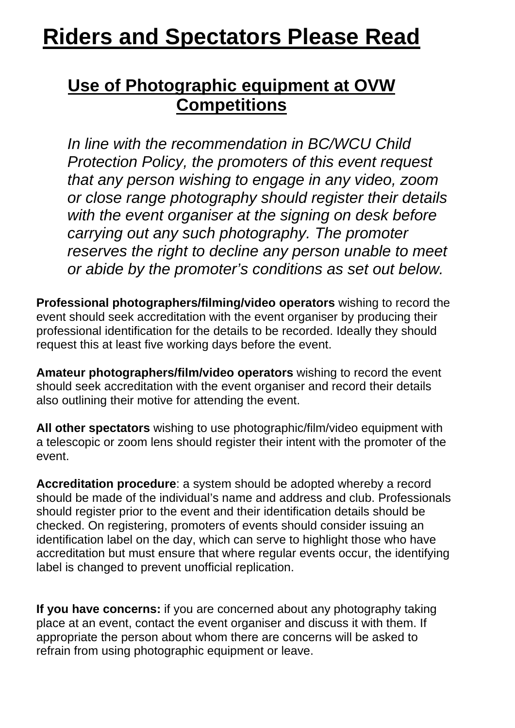## **Riders and Spectators Please Read**

## **Use of Photographic equipment at OVW Competitions**

*In line with the recommendation in BC/WCU Child Protection Policy, the promoters of this event request that any person wishing to engage in any video, zoom or close range photography should register their details with the event organiser at the signing on desk before carrying out any such photography. The promoter reserves the right to decline any person unable to meet or abide by the promoter's conditions as set out below.* 

**Professional photographers/filming/video operators** wishing to record the event should seek accreditation with the event organiser by producing their professional identification for the details to be recorded. Ideally they should request this at least five working days before the event.

**Amateur photographers/film/video operators** wishing to record the event should seek accreditation with the event organiser and record their details also outlining their motive for attending the event.

**All other spectators** wishing to use photographic/film/video equipment with a telescopic or zoom lens should register their intent with the promoter of the event.

**Accreditation procedure**: a system should be adopted whereby a record should be made of the individual's name and address and club. Professionals should register prior to the event and their identification details should be checked. On registering, promoters of events should consider issuing an identification label on the day, which can serve to highlight those who have accreditation but must ensure that where regular events occur, the identifying label is changed to prevent unofficial replication.

**If you have concerns:** if you are concerned about any photography taking place at an event, contact the event organiser and discuss it with them. If appropriate the person about whom there are concerns will be asked to refrain from using photographic equipment or leave.